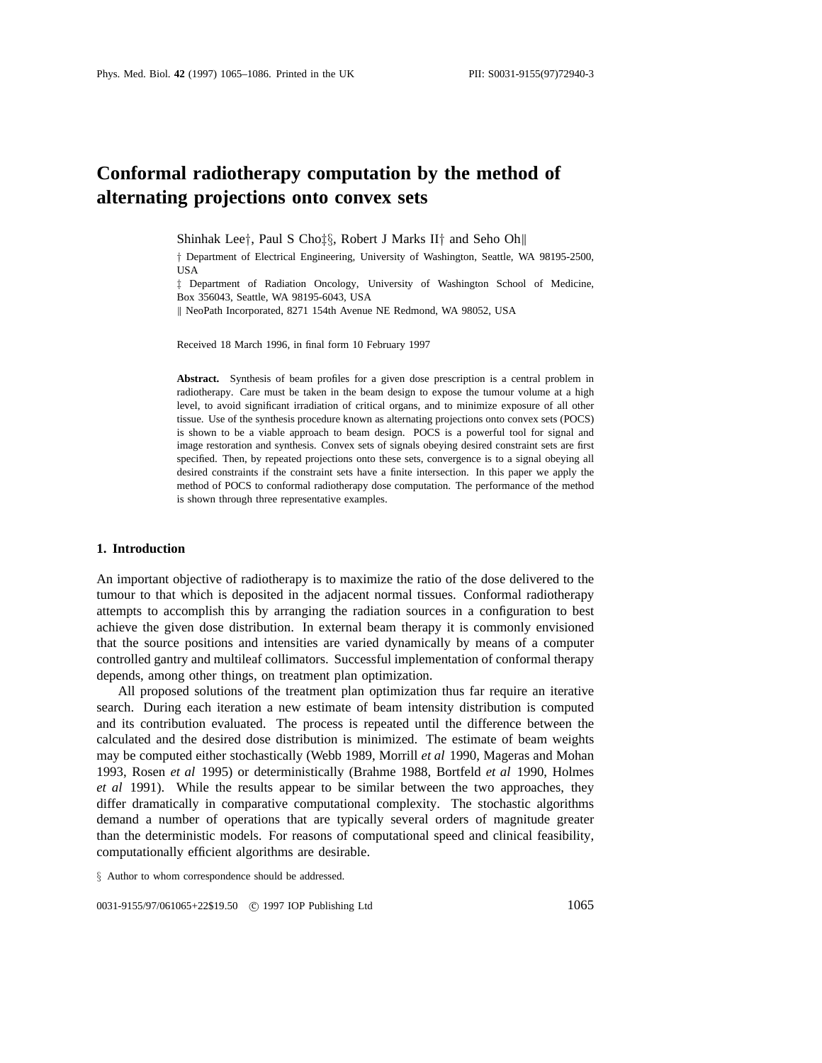# **Conformal radiotherapy computation by the method of alternating projections onto convex sets**

Shinhak Lee<sup>†</sup>, Paul S Cho‡§, Robert J Marks II<sup>+</sup> and Seho Oh∥

*†* Department of Electrical Engineering, University of Washington, Seattle, WA 98195-2500, **IISA** 

*‡* Department of Radiation Oncology, University of Washington School of Medicine, Box 356043, Seattle, WA 98195-6043, USA

k NeoPath Incorporated, 8271 154th Avenue NE Redmond, WA 98052, USA

Received 18 March 1996, in final form 10 February 1997

**Abstract.** Synthesis of beam profiles for a given dose prescription is a central problem in radiotherapy. Care must be taken in the beam design to expose the tumour volume at a high level, to avoid significant irradiation of critical organs, and to minimize exposure of all other tissue. Use of the synthesis procedure known as alternating projections onto convex sets (POCS) is shown to be a viable approach to beam design. POCS is a powerful tool for signal and image restoration and synthesis. Convex sets of signals obeying desired constraint sets are first specified. Then, by repeated projections onto these sets, convergence is to a signal obeying all desired constraints if the constraint sets have a finite intersection. In this paper we apply the method of POCS to conformal radiotherapy dose computation. The performance of the method is shown through three representative examples.

#### **1. Introduction**

An important objective of radiotherapy is to maximize the ratio of the dose delivered to the tumour to that which is deposited in the adjacent normal tissues. Conformal radiotherapy attempts to accomplish this by arranging the radiation sources in a configuration to best achieve the given dose distribution. In external beam therapy it is commonly envisioned that the source positions and intensities are varied dynamically by means of a computer controlled gantry and multileaf collimators. Successful implementation of conformal therapy depends, among other things, on treatment plan optimization.

All proposed solutions of the treatment plan optimization thus far require an iterative search. During each iteration a new estimate of beam intensity distribution is computed and its contribution evaluated. The process is repeated until the difference between the calculated and the desired dose distribution is minimized. The estimate of beam weights may be computed either stochastically (Webb 1989, Morrill *et al* 1990, Mageras and Mohan 1993, Rosen *et al* 1995) or deterministically (Brahme 1988, Bortfeld *et al* 1990, Holmes *et al* 1991). While the results appear to be similar between the two approaches, they differ dramatically in comparative computational complexity. The stochastic algorithms demand a number of operations that are typically several orders of magnitude greater than the deterministic models. For reasons of computational speed and clinical feasibility, computationally efficient algorithms are desirable.

*§* Author to whom correspondence should be addressed.

0031-9155/97/061065+22\$19.50 © 1997 IOP Publishing Ltd 1065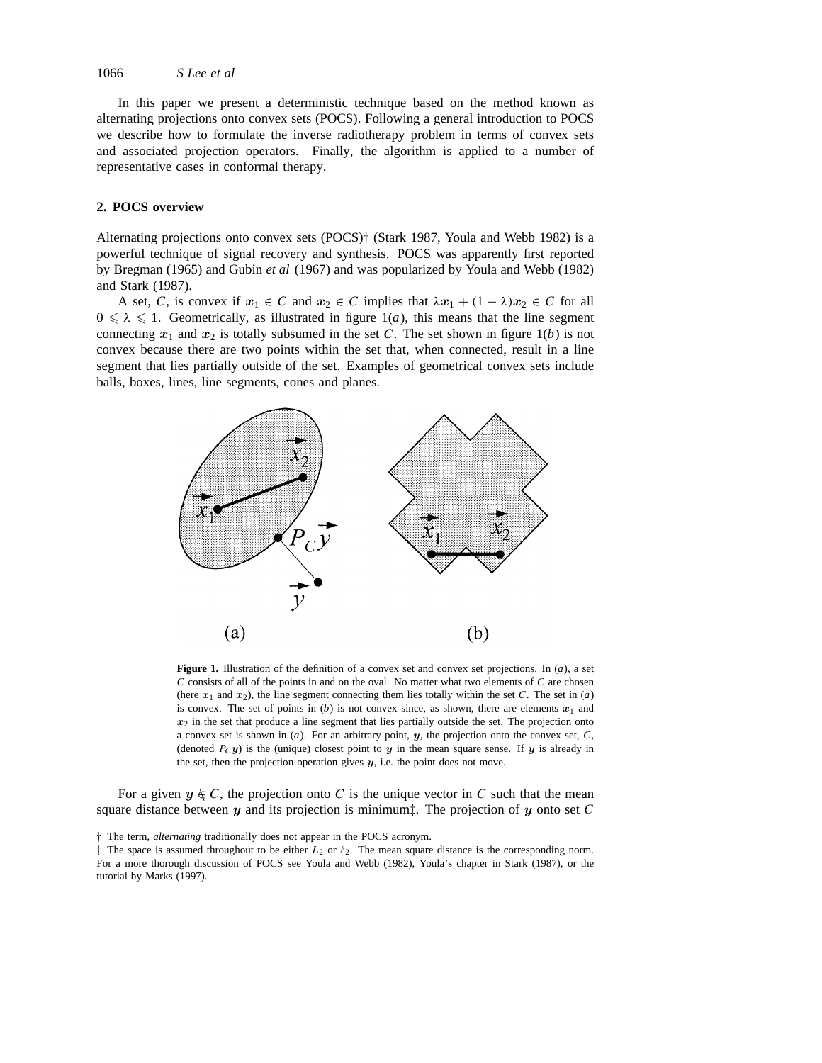In this paper we present a deterministic technique based on the method known as alternating projections onto convex sets (POCS). Following a general introduction to POCS we describe how to formulate the inverse radiotherapy problem in terms of convex sets and associated projection operators. Finally, the algorithm is applied to a number of representative cases in conformal therapy.

### **2. POCS overview**

Alternating projections onto convex sets (POCS)*†* (Stark 1987, Youla and Webb 1982) is a powerful technique of signal recovery and synthesis. POCS was apparently first reported by Bregman (1965) and Gubin *et al* (1967) and was popularized by Youla and Webb (1982) and Stark (1987).

A set, *C*, is convex if  $x_1 \in C$  and  $x_2 \in C$  implies that  $\lambda x_1 + (1 - \lambda)x_2 \in C$  for all  $0 \le \lambda \le 1$ . Geometrically, as illustrated in figure 1(*a*), this means that the line segment connecting  $x_1$  and  $x_2$  is totally subsumed in the set *C*. The set shown in figure  $1(b)$  is not convex because there are two points within the set that, when connected, result in a line segment that lies partially outside of the set. Examples of geometrical convex sets include balls, boxes, lines, line segments, cones and planes.



**Figure 1.** Illustration of the definition of a convex set and convex set projections. In (*a*), a set *C* consists of all of the points in and on the oval. No matter what two elements of *C* are chosen (here  $x_1$  and  $x_2$ ), the line segment connecting them lies totally within the set *C*. The set in (*a*) is convex. The set of points in  $(b)$  is not convex since, as shown, there are elements  $x_1$  and *x*<sup>2</sup> in the set that produce a line segment that lies partially outside the set. The projection onto a convex set is shown in (*a*). For an arbitrary point, *y*, the projection onto the convex set, *C*, (denoted  $P_C y$ ) is the (unique) closest point to *y* in the mean square sense. If *y* is already in the set, then the projection operation gives  $y$ , i.e. the point does not move.

For a given  $y \notin C$ , the projection onto *C* is the unique vector in *C* such that the mean square distance between *y* and its projection is minimum*‡*. The projection of *y* onto set *C*

*<sup>†</sup>* The term, *alternating* traditionally does not appear in the POCS acronym.

*<sup>‡</sup>* The space is assumed throughout to be either *L*<sup>2</sup> or *`*2. The mean square distance is the corresponding norm. For a more thorough discussion of POCS see Youla and Webb (1982), Youla's chapter in Stark (1987), or the tutorial by Marks (1997).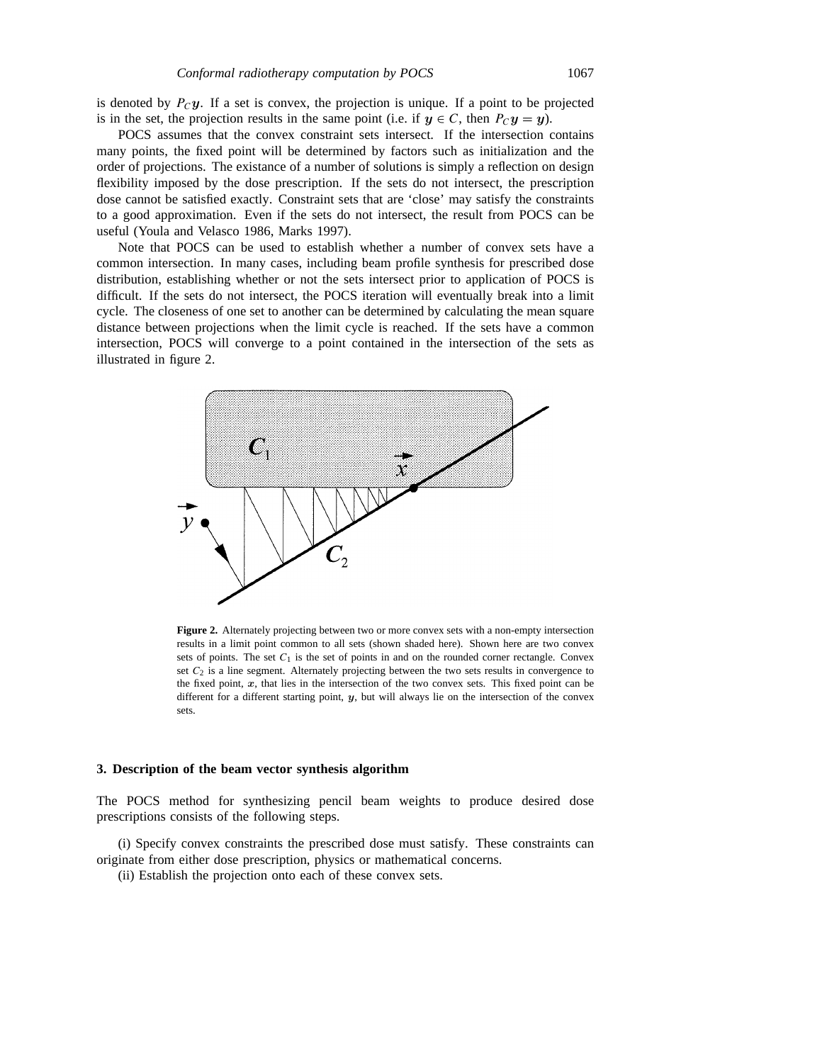is denoted by  $P_C y$ . If a set is convex, the projection is unique. If a point to be projected is in the set, the projection results in the same point (i.e. if  $y \in C$ , then  $P_C y = y$ ).

POCS assumes that the convex constraint sets intersect. If the intersection contains many points, the fixed point will be determined by factors such as initialization and the order of projections. The existance of a number of solutions is simply a reflection on design flexibility imposed by the dose prescription. If the sets do not intersect, the prescription dose cannot be satisfied exactly. Constraint sets that are 'close' may satisfy the constraints to a good approximation. Even if the sets do not intersect, the result from POCS can be useful (Youla and Velasco 1986, Marks 1997).

Note that POCS can be used to establish whether a number of convex sets have a common intersection. In many cases, including beam profile synthesis for prescribed dose distribution, establishing whether or not the sets intersect prior to application of POCS is difficult. If the sets do not intersect, the POCS iteration will eventually break into a limit cycle. The closeness of one set to another can be determined by calculating the mean square distance between projections when the limit cycle is reached. If the sets have a common intersection, POCS will converge to a point contained in the intersection of the sets as illustrated in figure 2.



**Figure 2.** Alternately projecting between two or more convex sets with a non-empty intersection results in a limit point common to all sets (shown shaded here). Shown here are two convex sets of points. The set  $C_1$  is the set of points in and on the rounded corner rectangle. Convex set *C*<sup>2</sup> is a line segment. Alternately projecting between the two sets results in convergence to the fixed point, *x*, that lies in the intersection of the two convex sets. This fixed point can be different for a different starting point, *y*, but will always lie on the intersection of the convex sets.

#### **3. Description of the beam vector synthesis algorithm**

The POCS method for synthesizing pencil beam weights to produce desired dose prescriptions consists of the following steps.

(i) Specify convex constraints the prescribed dose must satisfy. These constraints can originate from either dose prescription, physics or mathematical concerns.

(ii) Establish the projection onto each of these convex sets.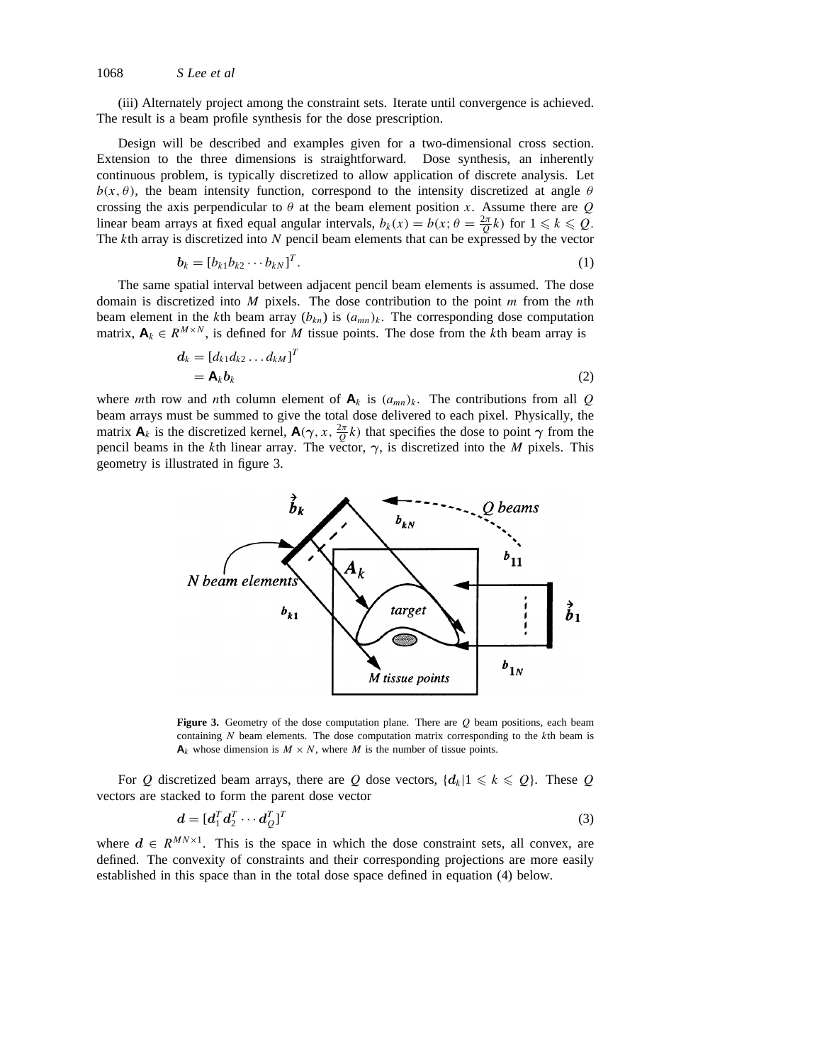(iii) Alternately project among the constraint sets. Iterate until convergence is achieved. The result is a beam profile synthesis for the dose prescription.

Design will be described and examples given for a two-dimensional cross section. Extension to the three dimensions is straightforward. Dose synthesis, an inherently continuous problem, is typically discretized to allow application of discrete analysis. Let  $b(x, \theta)$ , the beam intensity function, correspond to the intensity discretized at angle  $\theta$ crossing the axis perpendicular to  $\theta$  at the beam element position *x*. Assume there are *Q* linear beam arrays at fixed equal angular intervals,  $b_k(x) = b(x; \theta = \frac{2\pi}{Q}k)$  for  $1 \le k \le Q$ . The *k*th array is discretized into *N* pencil beam elements that can be expressed by the vector

$$
\boldsymbol{b}_k = [b_{k1}b_{k2}\cdots b_{kN}]^T. \tag{1}
$$

The same spatial interval between adjacent pencil beam elements is assumed. The dose domain is discretized into *M* pixels. The dose contribution to the point *m* from the *n*th beam element in the *k*th beam array  $(b_{kn})$  is  $(a_{mn})_k$ . The corresponding dose computation matrix,  $A_k \in R^{M \times N}$ , is defined for *M* tissue points. The dose from the *k*th beam array is

$$
\begin{aligned} d_k &= [d_{k1}d_{k2}\dots d_{kM}]^T \\ &= \mathbf{A}_k b_k \end{aligned} \tag{2}
$$

where *m*th row and *n*th column element of  $A_k$  is  $(a_{mn})_k$ . The contributions from all *Q* beam arrays must be summed to give the total dose delivered to each pixel. Physically, the matrix  $A_k$  is the discretized kernel,  $A(\gamma, x, \frac{2\pi}{Q}k)$  that specifies the dose to point  $\gamma$  from the pencil beams in the *k*th linear array. The vector,  $\gamma$ , is discretized into the *M* pixels. This geometry is illustrated in figure 3.



**Figure 3.** Geometry of the dose computation plane. There are *Q* beam positions, each beam containing *N* beam elements. The dose computation matrix corresponding to the *k*th beam is  $\mathbf{A}_k$  whose dimension is  $M \times N$ , where *M* is the number of tissue points.

For *Q* discretized beam arrays, there are *Q* dose vectors,  $\{d_k | 1 \leq k \leq Q\}$ . These *Q* vectors are stacked to form the parent dose vector

$$
\mathbf{d} = [\mathbf{d}_1^T \mathbf{d}_2^T \cdots \mathbf{d}_Q^T]^T
$$
\n(3)

where  $d \in R^{MN \times 1}$ . This is the space in which the dose constraint sets, all convex, are defined. The convexity of constraints and their corresponding projections are more easily established in this space than in the total dose space defined in equation (4) below.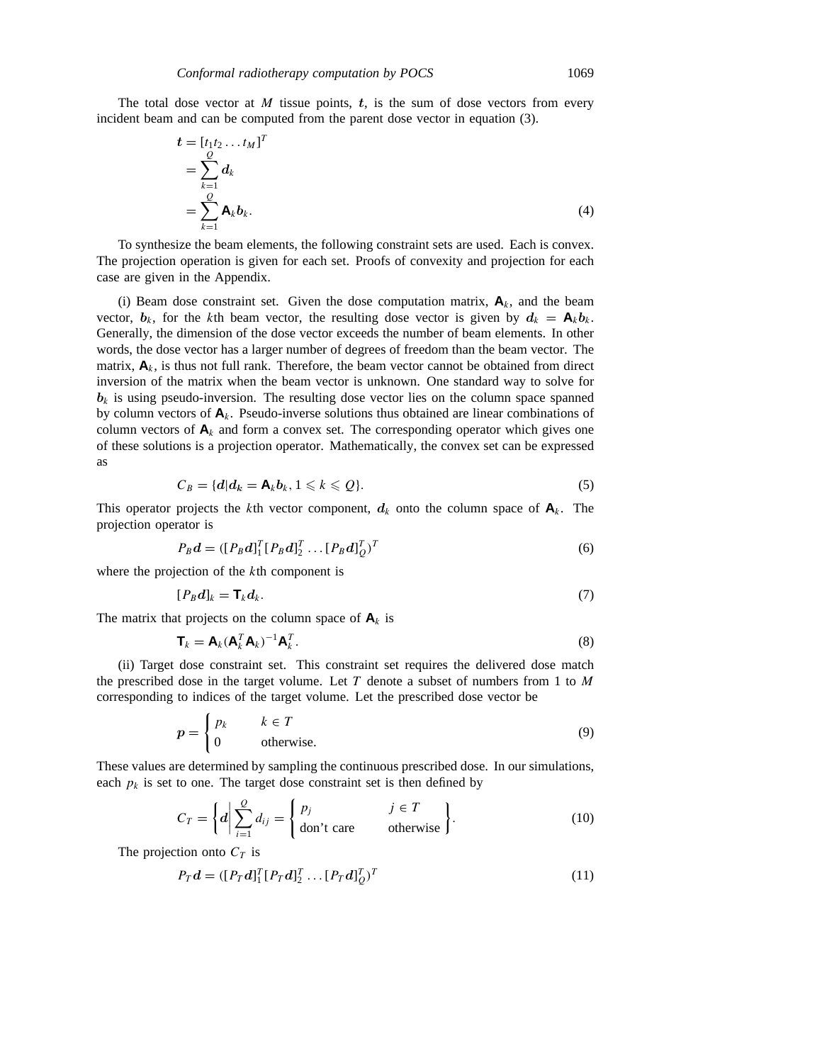The total dose vector at *M* tissue points, *t*, is the sum of dose vectors from every incident beam and can be computed from the parent dose vector in equation (3).

$$
\begin{aligned} t &= \left[t_1 t_2 \dots t_M\right]^T \\ &= \sum_{k=1}^Q d_k \\ &= \sum_{k=1}^Q \mathbf{A}_k \mathbf{b}_k. \end{aligned} \tag{4}
$$

To synthesize the beam elements, the following constraint sets are used. Each is convex. The projection operation is given for each set. Proofs of convexity and projection for each case are given in the Appendix.

(i) Beam dose constraint set. Given the dose computation matrix,  $A_k$ , and the beam vector,  $b_k$ , for the *k*th beam vector, the resulting dose vector is given by  $d_k = A_k b_k$ . Generally, the dimension of the dose vector exceeds the number of beam elements. In other words, the dose vector has a larger number of degrees of freedom than the beam vector. The matrix,  $\mathbf{A}_k$ , is thus not full rank. Therefore, the beam vector cannot be obtained from direct inversion of the matrix when the beam vector is unknown. One standard way to solve for  **is using pseudo-inversion. The resulting dose vector lies on the column space spanned** by column vectors of  $A_k$ . Pseudo-inverse solutions thus obtained are linear combinations of column vectors of  $A_k$  and form a convex set. The corresponding operator which gives one of these solutions is a projection operator. Mathematically, the convex set can be expressed as

$$
C_B = \{d | d_k = \mathbf{A}_k b_k, 1 \leq k \leq Q\}.
$$
\n<sup>(5)</sup>

This operator projects the *k*th vector component,  $d_k$  onto the column space of  $A_k$ . The projection operator is

$$
P_B d = ([P_B d]_1^T [P_B d]_2^T ... [P_B d]_Q^T)^T
$$
\n(6)

where the projection of the *k*th component is

$$
[P_Bd]_k = \mathbf{T}_k d_k. \tag{7}
$$

The matrix that projects on the column space of  $A_k$  is

$$
\mathbf{T}_k = \mathbf{A}_k (\mathbf{A}_k^T \mathbf{A}_k)^{-1} \mathbf{A}_k^T.
$$
 (8)

(ii) Target dose constraint set. This constraint set requires the delivered dose match the prescribed dose in the target volume. Let *T* denote a subset of numbers from 1 to *M* corresponding to indices of the target volume. Let the prescribed dose vector be

$$
p = \begin{cases} p_k & k \in T \\ 0 & \text{otherwise.} \end{cases}
$$
 (9)

These values are determined by sampling the continuous prescribed dose. In our simulations, each  $p_k$  is set to one. The target dose constraint set is then defined by

$$
C_T = \left\{ d \middle| \sum_{i=1}^{Q} d_{ij} = \begin{cases} p_j & j \in T \\ \text{don't care} & \text{otherwise} \end{cases} \right\}.
$$
 (10)

The projection onto  $C_T$  is

$$
P_T d = ([P_T d]_1^T [P_T d]_2^T ... [P_T d]_Q^T)^T
$$
\n(11)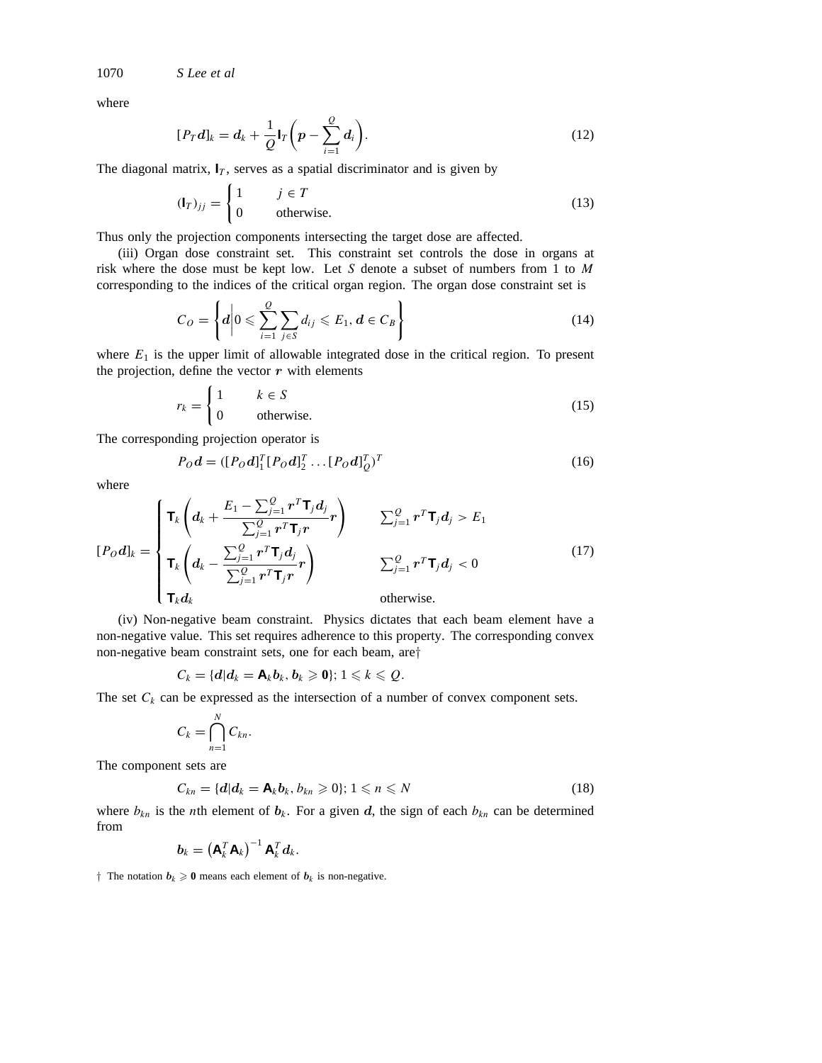1070 *S Lee et al*

where

$$
[P_T d]_k = d_k + \frac{1}{Q} \mathbf{I}_T \left( p - \sum_{i=1}^Q d_i \right). \tag{12}
$$

The diagonal matrix,  $I_T$ , serves as a spatial discriminator and is given by

$$
(\mathbf{l}_T)_{jj} = \begin{cases} 1 & j \in T \\ 0 & \text{otherwise.} \end{cases}
$$
 (13)

Thus only the projection components intersecting the target dose are affected.

(iii) Organ dose constraint set. This constraint set controls the dose in organs at risk where the dose must be kept low. Let *S* denote a subset of numbers from 1 to *M* corresponding to the indices of the critical organ region. The organ dose constraint set is

$$
C_O = \left\{ d \middle| 0 \leqslant \sum_{i=1}^{Q} \sum_{j \in S} d_{ij} \leqslant E_1, d \in C_B \right\}
$$
\n
$$
(14)
$$

where  $E_1$  is the upper limit of allowable integrated dose in the critical region. To present the projection, define the vector  $r$  with elements

$$
r_k = \begin{cases} 1 & k \in S \\ 0 & \text{otherwise.} \end{cases}
$$
 (15)

The corresponding projection operator is

$$
P_O d = ([P_O d]_1^T [P_O d]_2^T ... [P_O d]_Q^T)^T
$$
\n(16)

where

$$
[Pod]_k = \begin{cases} \mathbf{T}_k \left( d_k + \frac{E_1 - \sum_{j=1}^{\mathcal{Q}} r^T \mathbf{T}_j d_j}{\sum_{j=1}^{\mathcal{Q}} r^T \mathbf{T}_j r} r \right) & \sum_{j=1}^{\mathcal{Q}} r^T \mathbf{T}_j d_j > E_1 \\ \mathbf{T}_k \left( d_k - \frac{\sum_{j=1}^{\mathcal{Q}} r^T \mathbf{T}_j d_j}{\sum_{j=1}^{\mathcal{Q}} r^T \mathbf{T}_j r} r \right) & \sum_{j=1}^{\mathcal{Q}} r^T \mathbf{T}_j d_j < 0 \\ \mathbf{T}_k d_k & \text{otherwise.} \end{cases}
$$
(17)

(iv) Non-negative beam constraint. Physics dictates that each beam element have a non-negative value. This set requires adherence to this property. The corresponding convex non-negative beam constraint sets, one for each beam, are*†*

$$
C_k = \{d | d_k = \mathbf{A}_k \mathbf{b}_k, \mathbf{b}_k \geqslant \mathbf{0} \}; 1 \leqslant k \leqslant Q.
$$

The set  $C_k$  can be expressed as the intersection of a number of convex component sets.

$$
C_k = \bigcap_{n=1}^N C_{kn}.
$$

The component sets are

$$
C_{kn} = \{d | d_k = \mathbf{A}_k b_k, b_{kn} \geqslant 0\}; 1 \leqslant n \leqslant N \tag{18}
$$

where  $b_{kn}$  is the *n*th element of  $b_k$ . For a given *d*, the sign of each  $b_{kn}$  can be determined from

$$
\boldsymbol{b}_k = \left(\boldsymbol{\mathsf{A}}_k^T \boldsymbol{\mathsf{A}}_k\right)^{-1} \boldsymbol{\mathsf{A}}_k^T \boldsymbol{d}_k.
$$

*†* The notation  $b_k \ge 0$  means each element of  $b_k$  is non-negative.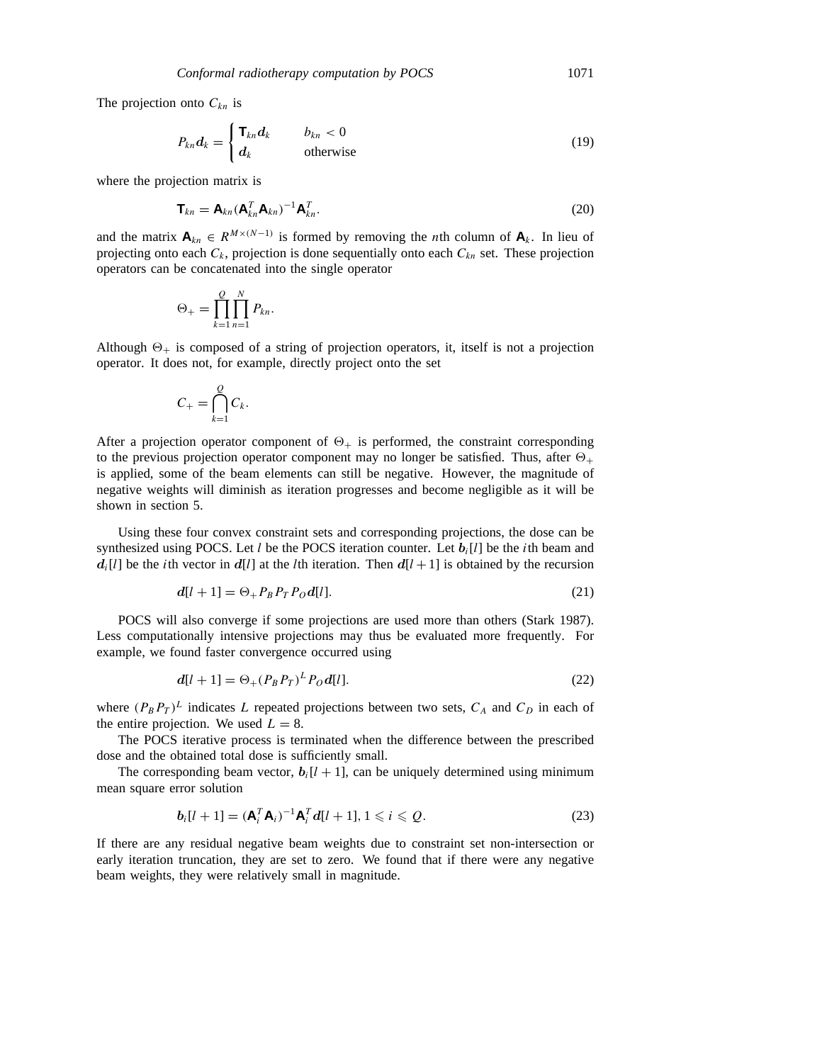The projection onto  $C_{kn}$  is

$$
P_{kn}d_k = \begin{cases} \mathbf{T}_{kn}d_k & b_{kn} < 0\\ d_k & \text{otherwise} \end{cases}
$$
 (19)

where the projection matrix is

$$
\mathbf{T}_{kn} = \mathbf{A}_{kn} (\mathbf{A}_{kn}^T \mathbf{A}_{kn})^{-1} \mathbf{A}_{kn}^T.
$$
 (20)

and the matrix  $\mathbf{A}_{kn} \in R^{M \times (N-1)}$  is formed by removing the *n*th column of  $\mathbf{A}_k$ . In lieu of projecting onto each  $C_k$ , projection is done sequentially onto each  $C_k$ <sub>n</sub> set. These projection operators can be concatenated into the single operator

$$
\Theta_+ = \prod_{k=1}^Q \prod_{n=1}^N P_{kn}.
$$

Although  $\Theta_+$  is composed of a string of projection operators, it, itself is not a projection operator. It does not, for example, directly project onto the set

$$
C_{+} = \bigcap_{k=1}^{Q} C_{k}.
$$

After a projection operator component of  $\Theta_+$  is performed, the constraint corresponding to the previous projection operator component may no longer be satisfied. Thus, after  $\Theta_+$ is applied, some of the beam elements can still be negative. However, the magnitude of negative weights will diminish as iteration progresses and become negligible as it will be shown in section 5.

Using these four convex constraint sets and corresponding projections, the dose can be synthesized using POCS. Let *l* be the POCS iteration counter. Let  $b_i[l]$  be the *i*th beam and  $d_i[l]$  be the *i*th vector in  $d[l]$  at the *l*th iteration. Then  $d[l + 1]$  is obtained by the recursion

$$
d[l+1] = \Theta_+ P_B P_T P_O d[l]. \tag{21}
$$

POCS will also converge if some projections are used more than others (Stark 1987). Less computationally intensive projections may thus be evaluated more frequently. For example, we found faster convergence occurred using

$$
d[l+1] = \Theta_{+} (P_{B} P_{T})^{L} P_{O} d[l]. \tag{22}
$$

where  $(P_B P_T)^L$  indicates *L* repeated projections between two sets,  $C_A$  and  $C_D$  in each of the entire projection. We used  $L = 8$ .

The POCS iterative process is terminated when the difference between the prescribed dose and the obtained total dose is sufficiently small.

The corresponding beam vector,  $b_i[l + 1]$ , can be uniquely determined using minimum mean square error solution

$$
b_i[l+1] = (\mathbf{A}_i^T \mathbf{A}_i)^{-1} \mathbf{A}_i^T d[l+1], 1 \leq i \leq Q.
$$
 (23)

If there are any residual negative beam weights due to constraint set non-intersection or early iteration truncation, they are set to zero. We found that if there were any negative beam weights, they were relatively small in magnitude.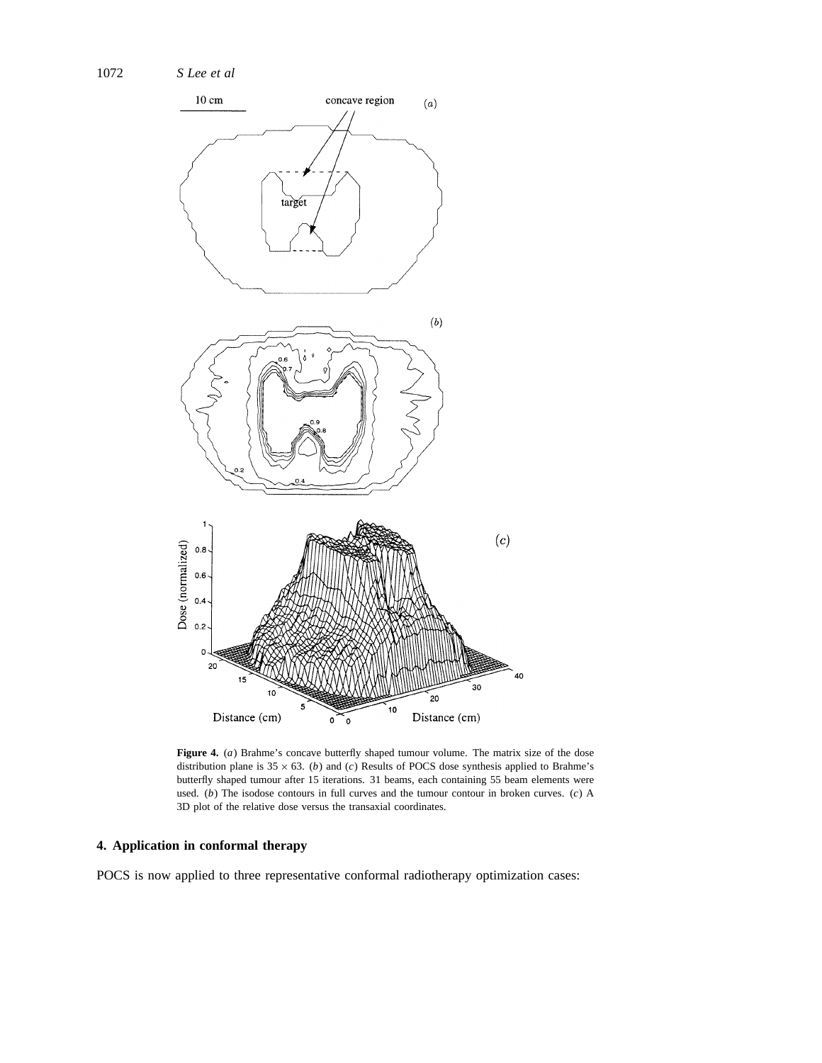

**Figure 4.** (*a*) Brahme's concave butterfly shaped tumour volume. The matrix size of the dose distribution plane is  $35 \times 63$ . (*b*) and (*c*) Results of POCS dose synthesis applied to Brahme's butterfly shaped tumour after 15 iterations. 31 beams, each containing 55 beam elements were used. (*b*) The isodose contours in full curves and the tumour contour in broken curves. (*c*) A 3D plot of the relative dose versus the transaxial coordinates.

### **4. Application in conformal therapy**

POCS is now applied to three representative conformal radiotherapy optimization cases: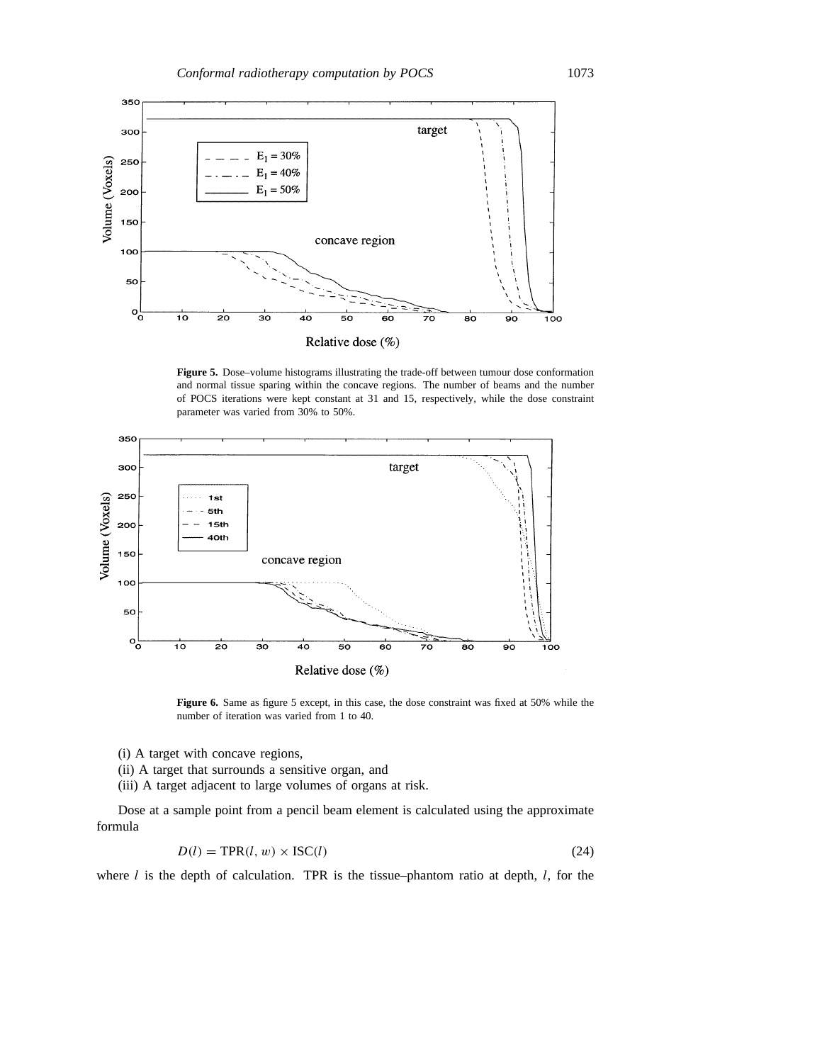

**Figure 5.** Dose–volume histograms illustrating the trade-off between tumour dose conformation and normal tissue sparing within the concave regions. The number of beams and the number of POCS iterations were kept constant at 31 and 15, respectively, while the dose constraint parameter was varied from 30% to 50%.



Figure 6. Same as figure 5 except, in this case, the dose constraint was fixed at 50% while the number of iteration was varied from 1 to 40.

- (i) A target with concave regions,
- (ii) A target that surrounds a sensitive organ, and
- (iii) A target adjacent to large volumes of organs at risk.

Dose at a sample point from a pencil beam element is calculated using the approximate formula

$$
D(l) = \text{TPR}(l, w) \times \text{ISC}(l) \tag{24}
$$

where  $l$  is the depth of calculation. TPR is the tissue–phantom ratio at depth,  $l$ , for the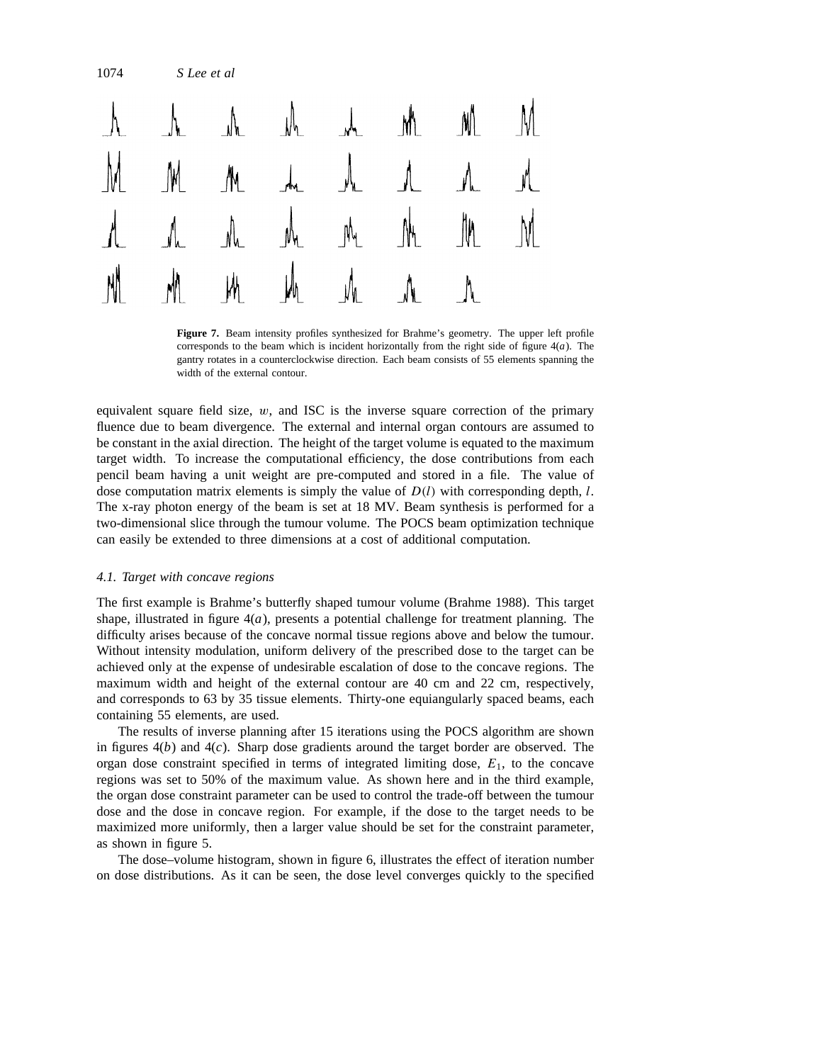

Figure 7. Beam intensity profiles synthesized for Brahme's geometry. The upper left profile corresponds to the beam which is incident horizontally from the right side of figure 4(*a*). The gantry rotates in a counterclockwise direction. Each beam consists of 55 elements spanning the width of the external contour.

equivalent square field size, *w*, and ISC is the inverse square correction of the primary fluence due to beam divergence. The external and internal organ contours are assumed to be constant in the axial direction. The height of the target volume is equated to the maximum target width. To increase the computational efficiency, the dose contributions from each pencil beam having a unit weight are pre-computed and stored in a file. The value of dose computation matrix elements is simply the value of *D(l)* with corresponding depth, *l*. The x-ray photon energy of the beam is set at 18 MV. Beam synthesis is performed for a two-dimensional slice through the tumour volume. The POCS beam optimization technique can easily be extended to three dimensions at a cost of additional computation.

#### *4.1. Target with concave regions*

The first example is Brahme's butterfly shaped tumour volume (Brahme 1988). This target shape, illustrated in figure  $4(a)$ , presents a potential challenge for treatment planning. The difficulty arises because of the concave normal tissue regions above and below the tumour. Without intensity modulation, uniform delivery of the prescribed dose to the target can be achieved only at the expense of undesirable escalation of dose to the concave regions. The maximum width and height of the external contour are 40 cm and 22 cm, respectively, and corresponds to 63 by 35 tissue elements. Thirty-one equiangularly spaced beams, each containing 55 elements, are used.

The results of inverse planning after 15 iterations using the POCS algorithm are shown in figures 4(*b*) and 4(*c*). Sharp dose gradients around the target border are observed. The organ dose constraint specified in terms of integrated limiting dose, *E*1, to the concave regions was set to 50% of the maximum value. As shown here and in the third example, the organ dose constraint parameter can be used to control the trade-off between the tumour dose and the dose in concave region. For example, if the dose to the target needs to be maximized more uniformly, then a larger value should be set for the constraint parameter, as shown in figure 5.

The dose–volume histogram, shown in figure 6, illustrates the effect of iteration number on dose distributions. As it can be seen, the dose level converges quickly to the specified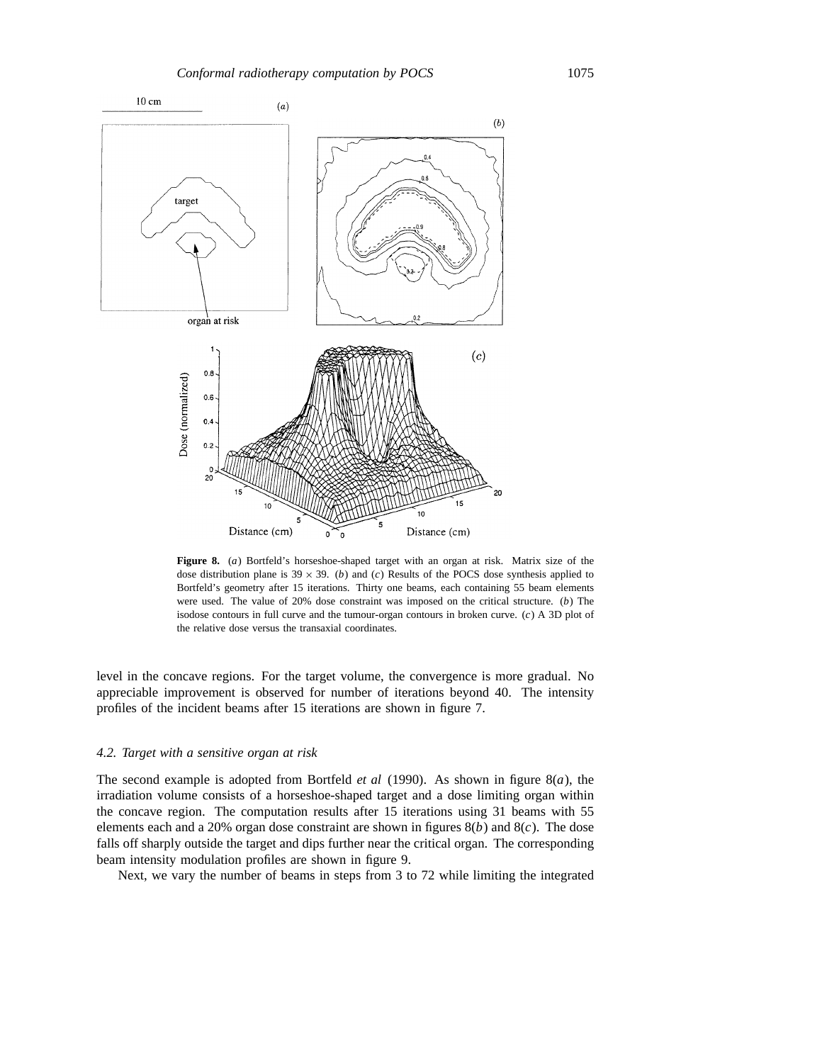

**Figure 8.** (*a*) Bortfeld's horseshoe-shaped target with an organ at risk. Matrix size of the dose distribution plane is  $39 \times 39$ . (*b*) and (*c*) Results of the POCS dose synthesis applied to Bortfeld's geometry after 15 iterations. Thirty one beams, each containing 55 beam elements were used. The value of 20% dose constraint was imposed on the critical structure. (*b*) The isodose contours in full curve and the tumour-organ contours in broken curve. (*c*) A 3D plot of the relative dose versus the transaxial coordinates.

level in the concave regions. For the target volume, the convergence is more gradual. No appreciable improvement is observed for number of iterations beyond 40. The intensity profiles of the incident beams after 15 iterations are shown in figure 7.

### *4.2. Target with a sensitive organ at risk*

The second example is adopted from Bortfeld *et al* (1990). As shown in figure 8(*a*), the irradiation volume consists of a horseshoe-shaped target and a dose limiting organ within the concave region. The computation results after 15 iterations using 31 beams with 55 elements each and a 20% organ dose constraint are shown in figures 8(*b*) and 8(*c*). The dose falls off sharply outside the target and dips further near the critical organ. The corresponding beam intensity modulation profiles are shown in figure 9.

Next, we vary the number of beams in steps from 3 to 72 while limiting the integrated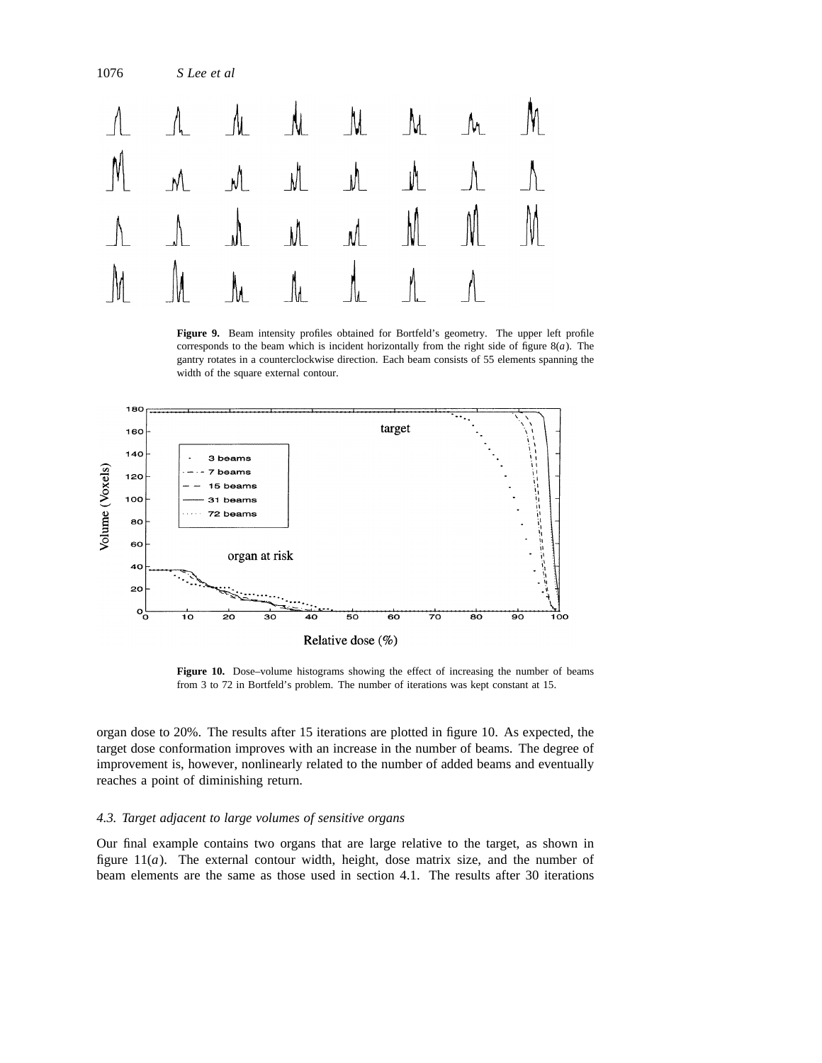

Figure 9. Beam intensity profiles obtained for Bortfeld's geometry. The upper left profile corresponds to the beam which is incident horizontally from the right side of figure 8(*a*). The gantry rotates in a counterclockwise direction. Each beam consists of 55 elements spanning the width of the square external contour.



Figure 10. Dose-volume histograms showing the effect of increasing the number of beams from 3 to 72 in Bortfeld's problem. The number of iterations was kept constant at 15.

organ dose to 20%. The results after 15 iterations are plotted in figure 10. As expected, the target dose conformation improves with an increase in the number of beams. The degree of improvement is, however, nonlinearly related to the number of added beams and eventually reaches a point of diminishing return.

### *4.3. Target adjacent to large volumes of sensitive organs*

Our final example contains two organs that are large relative to the target, as shown in figure  $11(a)$ . The external contour width, height, dose matrix size, and the number of beam elements are the same as those used in section 4.1. The results after 30 iterations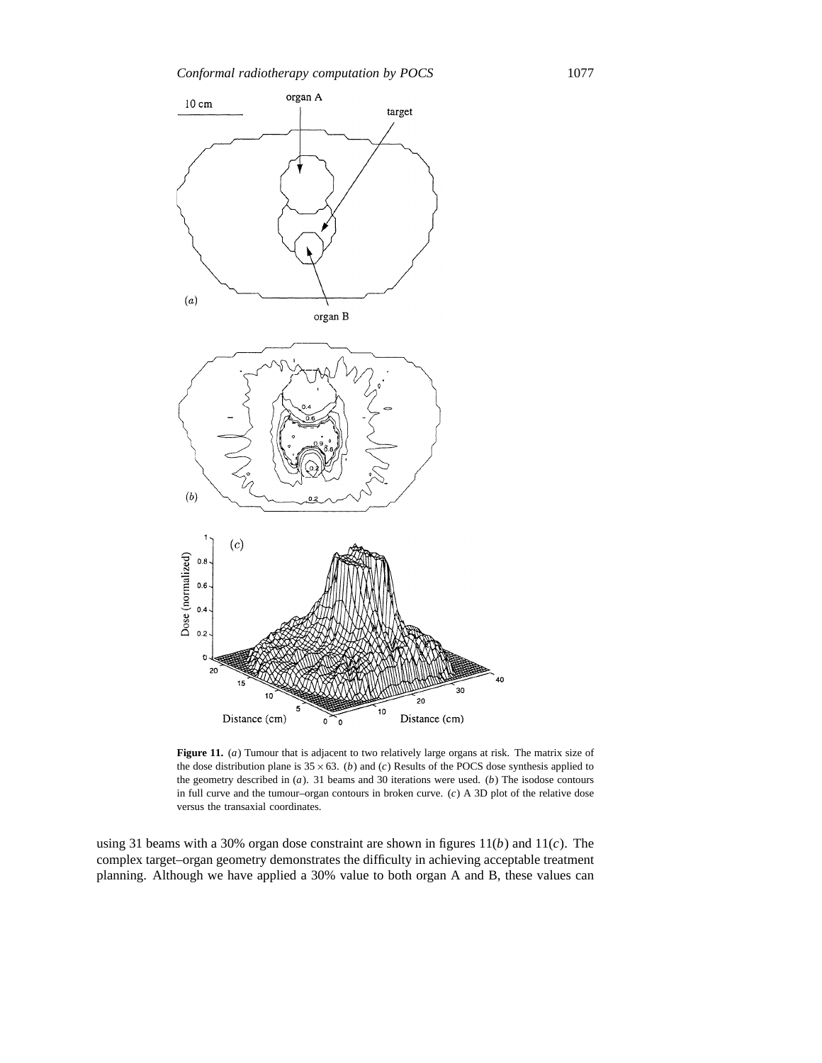

**Figure 11.** (*a*) Tumour that is adjacent to two relatively large organs at risk. The matrix size of the dose distribution plane is  $35 \times 63$ . (*b*) and (*c*) Results of the POCS dose synthesis applied to the geometry described in (*a*). 31 beams and 30 iterations were used. (*b*) The isodose contours in full curve and the tumour–organ contours in broken curve. (*c*) A 3D plot of the relative dose versus the transaxial coordinates.

using 31 beams with a 30% organ dose constraint are shown in figures 11(*b*) and 11(*c*). The complex target–organ geometry demonstrates the difficulty in achieving acceptable treatment planning. Although we have applied a 30% value to both organ A and B, these values can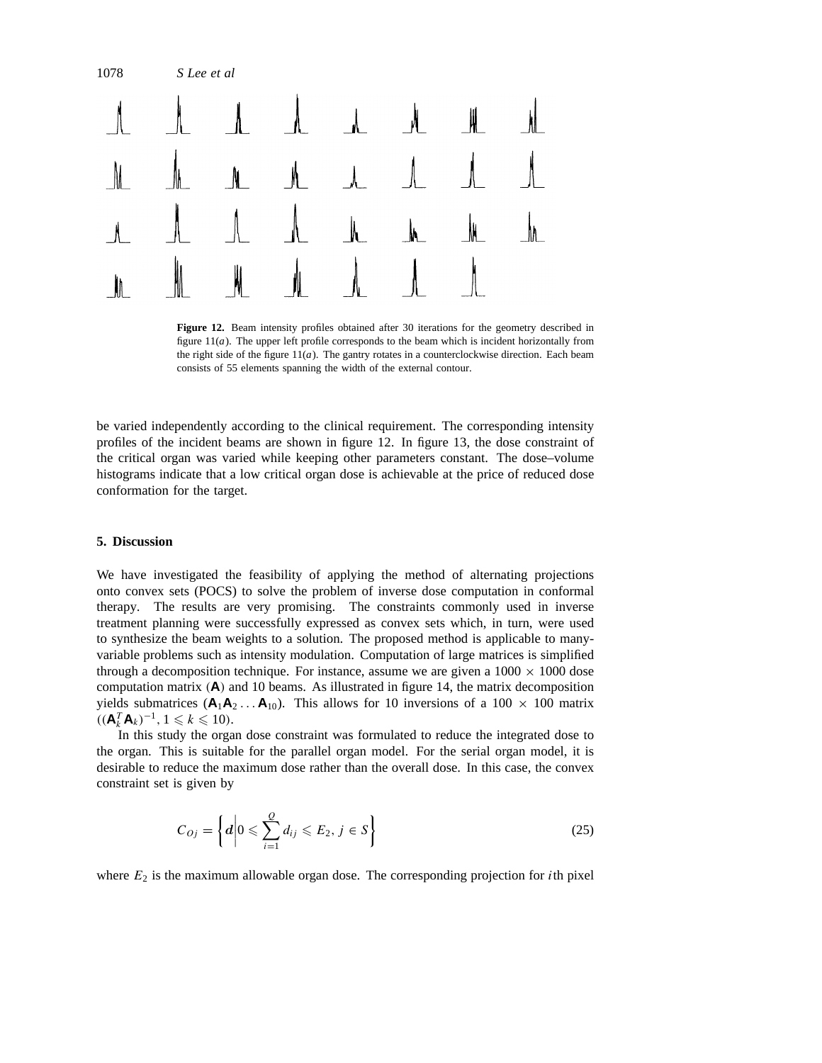

**Figure 12.** Beam intensity profiles obtained after 30 iterations for the geometry described in figure 11(*a*). The upper left profile corresponds to the beam which is incident horizontally from the right side of the figure  $11(a)$ . The gantry rotates in a counterclockwise direction. Each beam consists of 55 elements spanning the width of the external contour.

be varied independently according to the clinical requirement. The corresponding intensity profiles of the incident beams are shown in figure 12. In figure 13, the dose constraint of the critical organ was varied while keeping other parameters constant. The dose–volume histograms indicate that a low critical organ dose is achievable at the price of reduced dose conformation for the target.

#### **5. Discussion**

We have investigated the feasibility of applying the method of alternating projections onto convex sets (POCS) to solve the problem of inverse dose computation in conformal therapy. The results are very promising. The constraints commonly used in inverse treatment planning were successfully expressed as convex sets which, in turn, were used to synthesize the beam weights to a solution. The proposed method is applicable to manyvariable problems such as intensity modulation. Computation of large matrices is simplified through a decomposition technique. For instance, assume we are given a  $1000 \times 1000$  dose computation matrix *(***A***)* and 10 beams. As illustrated in figure 14, the matrix decomposition yields submatrices  $(A_1A_2 \ldots A_{10})$ . This allows for 10 inversions of a 100  $\times$  100 matrix  $((\mathbf{A}_k^T \mathbf{A}_k)^{-1}, 1 \leq k \leq 10).$ 

In this study the organ dose constraint was formulated to reduce the integrated dose to the organ. This is suitable for the parallel organ model. For the serial organ model, it is desirable to reduce the maximum dose rather than the overall dose. In this case, the convex constraint set is given by

$$
C_{0j} = \left\{ d \middle| 0 \leqslant \sum_{i=1}^{Q} d_{ij} \leqslant E_2, j \in S \right\}
$$
\n
$$
(25)
$$

where  $E_2$  is the maximum allowable organ dose. The corresponding projection for *i*th pixel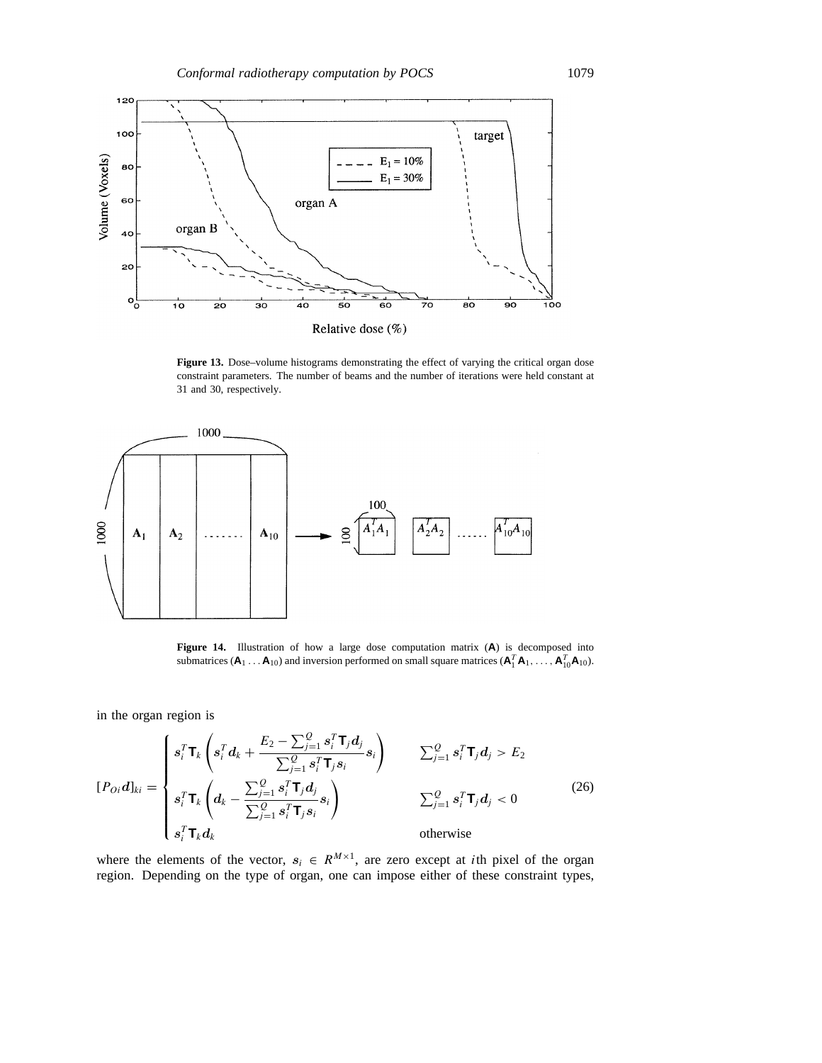

Figure 13. Dose-volume histograms demonstrating the effect of varying the critical organ dose constraint parameters. The number of beams and the number of iterations were held constant at 31 and 30, respectively.



**Figure 14.** Illustration of how a large dose computation matrix (**A**) is decomposed into submatrices  $(A_1 \ldots A_{10})$  and inversion performed on small square matrices  $(A_1^T A_1, \ldots, A_{10}^T A_{10})$ .

in the organ region is

$$
[P_{oi}d]_{ki} = \begin{cases} s_i^T \mathbf{T}_k \left( s_i^T d_k + \frac{E_2 - \sum_{j=1}^Q s_i^T \mathbf{T}_j d_j}{\sum_{j=1}^Q s_i^T \mathbf{T}_j s_i} s_i \right) & \sum_{j=1}^Q s_i^T \mathbf{T}_j d_j > E_2\\ s_i^T \mathbf{T}_k \left( d_k - \frac{\sum_{j=1}^Q s_i^T \mathbf{T}_j d_j}{\sum_{j=1}^Q s_i^T \mathbf{T}_j s_i} s_i \right) & \sum_{j=1}^Q s_i^T \mathbf{T}_j d_j < 0\\ s_i^T \mathbf{T}_k d_k & \text{otherwise} \end{cases}
$$
(26)

where the elements of the vector,  $s_i \in R^{M \times 1}$ , are zero except at *i*th pixel of the organ region. Depending on the type of organ, one can impose either of these constraint types,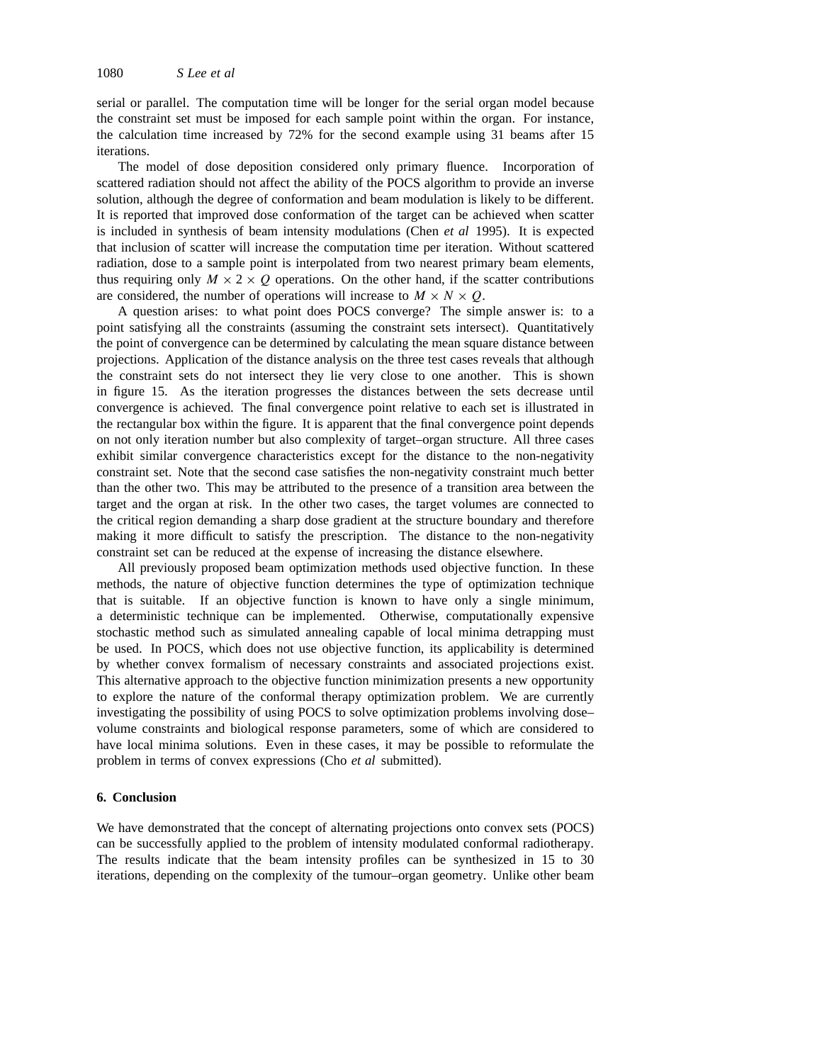serial or parallel. The computation time will be longer for the serial organ model because the constraint set must be imposed for each sample point within the organ. For instance, the calculation time increased by 72% for the second example using 31 beams after 15 iterations.

The model of dose deposition considered only primary fluence. Incorporation of scattered radiation should not affect the ability of the POCS algorithm to provide an inverse solution, although the degree of conformation and beam modulation is likely to be different. It is reported that improved dose conformation of the target can be achieved when scatter is included in synthesis of beam intensity modulations (Chen *et al* 1995). It is expected that inclusion of scatter will increase the computation time per iteration. Without scattered radiation, dose to a sample point is interpolated from two nearest primary beam elements, thus requiring only  $M \times 2 \times Q$  operations. On the other hand, if the scatter contributions are considered, the number of operations will increase to  $M \times N \times Q$ .

A question arises: to what point does POCS converge? The simple answer is: to a point satisfying all the constraints (assuming the constraint sets intersect). Quantitatively the point of convergence can be determined by calculating the mean square distance between projections. Application of the distance analysis on the three test cases reveals that although the constraint sets do not intersect they lie very close to one another. This is shown in figure 15. As the iteration progresses the distances between the sets decrease until convergence is achieved. The final convergence point relative to each set is illustrated in the rectangular box within the figure. It is apparent that the final convergence point depends on not only iteration number but also complexity of target–organ structure. All three cases exhibit similar convergence characteristics except for the distance to the non-negativity constraint set. Note that the second case satisfies the non-negativity constraint much better than the other two. This may be attributed to the presence of a transition area between the target and the organ at risk. In the other two cases, the target volumes are connected to the critical region demanding a sharp dose gradient at the structure boundary and therefore making it more difficult to satisfy the prescription. The distance to the non-negativity constraint set can be reduced at the expense of increasing the distance elsewhere.

All previously proposed beam optimization methods used objective function. In these methods, the nature of objective function determines the type of optimization technique that is suitable. If an objective function is known to have only a single minimum, a deterministic technique can be implemented. Otherwise, computationally expensive stochastic method such as simulated annealing capable of local minima detrapping must be used. In POCS, which does not use objective function, its applicability is determined by whether convex formalism of necessary constraints and associated projections exist. This alternative approach to the objective function minimization presents a new opportunity to explore the nature of the conformal therapy optimization problem. We are currently investigating the possibility of using POCS to solve optimization problems involving dose– volume constraints and biological response parameters, some of which are considered to have local minima solutions. Even in these cases, it may be possible to reformulate the problem in terms of convex expressions (Cho *et al* submitted).

### **6. Conclusion**

We have demonstrated that the concept of alternating projections onto convex sets (POCS) can be successfully applied to the problem of intensity modulated conformal radiotherapy. The results indicate that the beam intensity profiles can be synthesized in 15 to 30 iterations, depending on the complexity of the tumour–organ geometry. Unlike other beam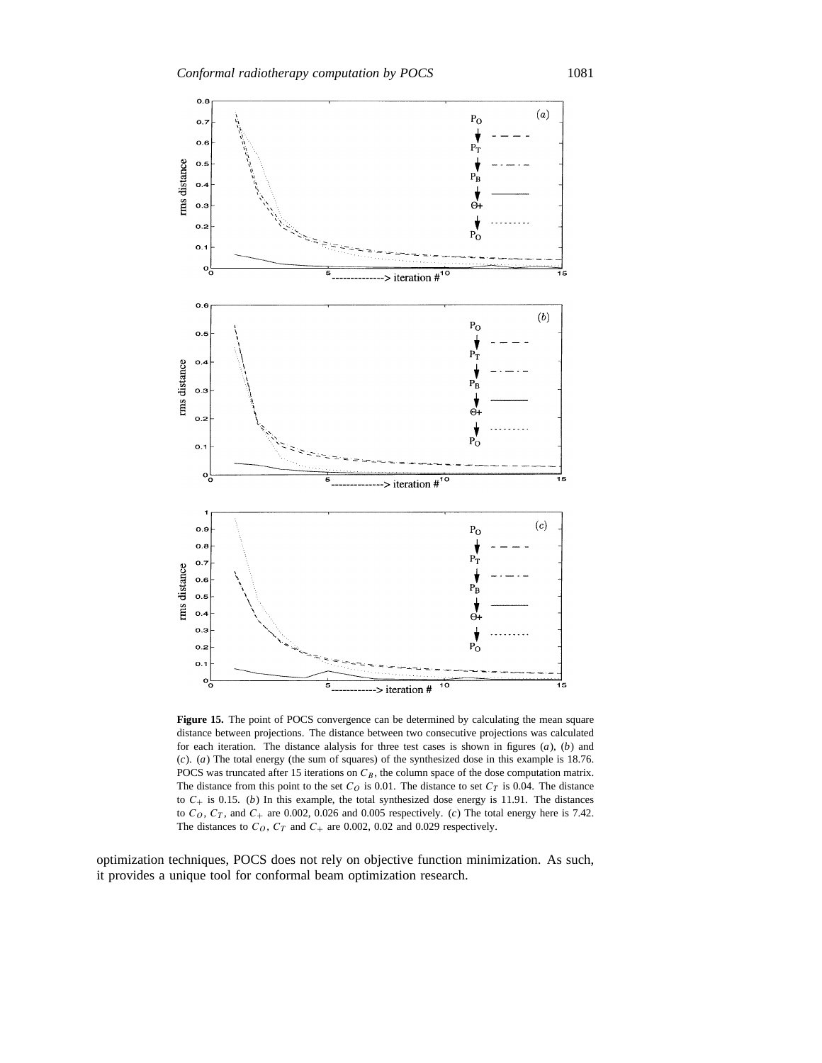

Figure 15. The point of POCS convergence can be determined by calculating the mean square distance between projections. The distance between two consecutive projections was calculated for each iteration. The distance alalysis for three test cases is shown in figures (*a*), (*b*) and (*c*). (*a*) The total energy (the sum of squares) of the synthesized dose in this example is 18.76. POCS was truncated after 15 iterations on  $C_B$ , the column space of the dose computation matrix. The distance from this point to the set  $C_Q$  is 0.01. The distance to set  $C_T$  is 0.04. The distance to  $C_+$  is 0.15. (*b*) In this example, the total synthesized dose energy is 11.91. The distances to  $C_O$ ,  $C_T$ , and  $C_+$  are 0.002, 0.026 and 0.005 respectively. (*c*) The total energy here is 7.42. The distances to  $C_O$ ,  $C_T$  and  $C_+$  are 0.002, 0.02 and 0.029 respectively.

optimization techniques, POCS does not rely on objective function minimization. As such, it provides a unique tool for conformal beam optimization research.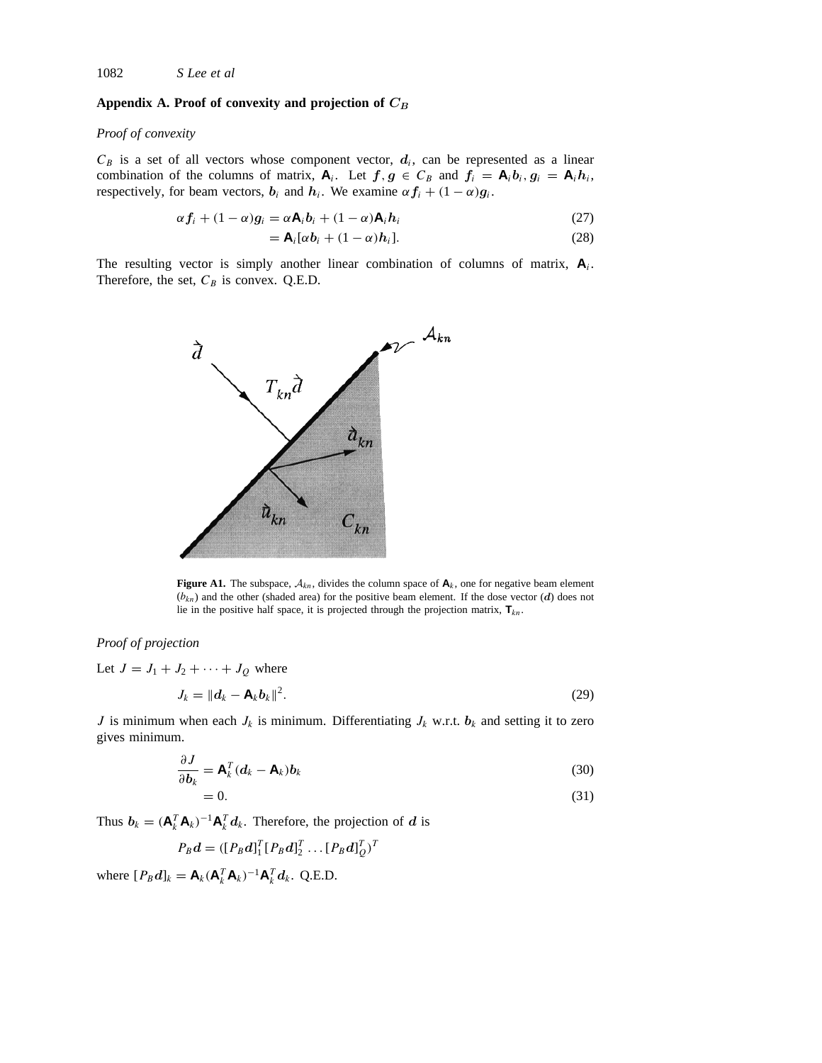### **Appendix A. Proof of convexity and projection of** *CB*

#### *Proof of convexity*

 $C_B$  is a set of all vectors whose component vector,  $d_i$ , can be represented as a linear combination of the columns of matrix,  $A_i$ . Let  $f, g \in C_B$  and  $f_i = A_i b_i$ ,  $g_i = A_i h_i$ , respectively, for beam vectors,  $b_i$  and  $h_i$ . We examine  $\alpha f_i + (1 - \alpha)g_i$ .

$$
\alpha f_i + (1 - \alpha)g_i = \alpha \mathbf{A}_i b_i + (1 - \alpha) \mathbf{A}_i h_i \tag{27}
$$

$$
= \mathbf{A}_i[\alpha \mathbf{b}_i + (1 - \alpha)\mathbf{h}_i]. \tag{28}
$$

The resulting vector is simply another linear combination of columns of matrix,  $A_i$ . Therefore, the set,  $C_B$  is convex. Q.E.D.



**Figure A1.** The subspace,  $A_{kn}$ , divides the column space of  $A_k$ , one for negative beam element  $(b_{kn})$  and the other (shaded area) for the positive beam element. If the dose vector  $(d)$  does not lie in the positive half space, it is projected through the projection matrix,  $\mathbf{T}_{kn}$ .

### *Proof of projection*

Let  $J = J_1 + J_2 + \cdots + J_Q$  where

$$
J_k = ||\boldsymbol{d}_k - \boldsymbol{A}_k \boldsymbol{b}_k||^2. \tag{29}
$$

*J* is minimum when each  $J_k$  is minimum. Differentiating  $J_k$  w.r.t.  $b_k$  and setting it to zero gives minimum.

$$
\frac{\partial J}{\partial \mathbf{b}_k} = \mathbf{A}_k^T (\mathbf{d}_k - \mathbf{A}_k) \mathbf{b}_k
$$
\n(30)

$$
=0.\t(31)
$$

Thus  $b_k = (\mathbf{A}_k^T \mathbf{A}_k)^{-1} \mathbf{A}_k^T d_k$ . Therefore, the projection of *d* is

$$
P_B d = ([P_B d]_1^T [P_B d]_2^T ... [P_B d]_Q^T)^T
$$

where  $[P_B d]_k = \mathbf{A}_k (\mathbf{A}_k^T \mathbf{A}_k)^{-1} \mathbf{A}_k^T d_k$ . Q.E.D.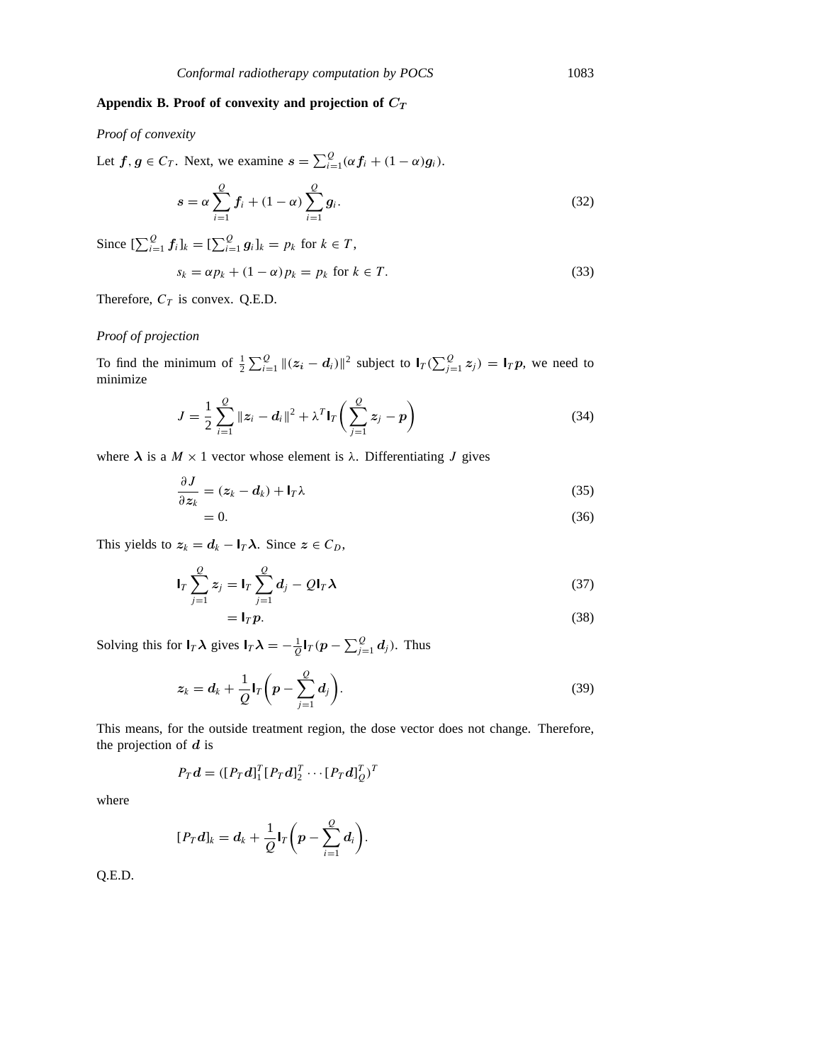# **Appendix B. Proof of convexity and projection of** *CT*

*Proof of convexity*

Let  $f, g \in C_T$ . Next, we examine  $s = \sum_{i=1}^{Q} (\alpha f_i + (1 - \alpha)g_i)$ .

$$
s = \alpha \sum_{i=1}^{Q} f_i + (1 - \alpha) \sum_{i=1}^{Q} g_i.
$$
 (32)

Since  $[\sum_{i=1}^{Q} f_i]_k = [\sum_{i=1}^{Q} g_i]_k = p_k$  for  $k \in T$ ,

$$
s_k = \alpha p_k + (1 - \alpha) p_k = p_k \text{ for } k \in T.
$$
\n
$$
(33)
$$

Therefore,  $C_T$  is convex. Q.E.D.

### *Proof of projection*

To find the minimum of  $\frac{1}{2} \sum_{i=1}^{Q} ||(z_i - d_i)||^2$  subject to  $\mathbf{I}_T(\sum_{j=1}^{Q} z_j) = \mathbf{I}_T p$ , we need to minimize

$$
J = \frac{1}{2} \sum_{i=1}^{Q} ||z_i - d_i||^2 + \lambda^T \mathbf{I}_T \bigg( \sum_{j=1}^{Q} z_j - p \bigg)
$$
 (34)

where  $\lambda$  is a  $M \times 1$  vector whose element is  $\lambda$ . Differentiating *J* gives

$$
\frac{\partial J}{\partial z_k} = (z_k - d_k) + \mathbf{I}_T \lambda \tag{35}
$$

$$
=0.\t(36)
$$

This yields to  $z_k = d_k - I_T \lambda$ . Since  $z \in C_D$ ,

$$
\mathbf{I}_T \sum_{j=1}^{Q} z_j = \mathbf{I}_T \sum_{j=1}^{Q} d_j - Q \mathbf{I}_T \lambda
$$
 (37)

$$
= I_T p. \tag{38}
$$

Solving this for  $I_T \lambda$  gives  $I_T \lambda = -\frac{1}{Q} I_T(p - \sum_{j=1}^Q d_j)$ . Thus

$$
z_k = d_k + \frac{1}{Q} \mathbf{I}_T \bigg( p - \sum_{j=1}^Q d_j \bigg). \tag{39}
$$

This means, for the outside treatment region, the dose vector does not change. Therefore, the projection of *d* is

$$
P_T d = ([P_T d]^T_1 [P_T d]^T_2 \cdots [P_T d]^T_Q)^T
$$

where

$$
[P_Td]_k = d_k + \frac{1}{Q}\mathbf{I}_T\bigg(p - \sum_{i=1}^Q d_i\bigg).
$$

Q.E.D.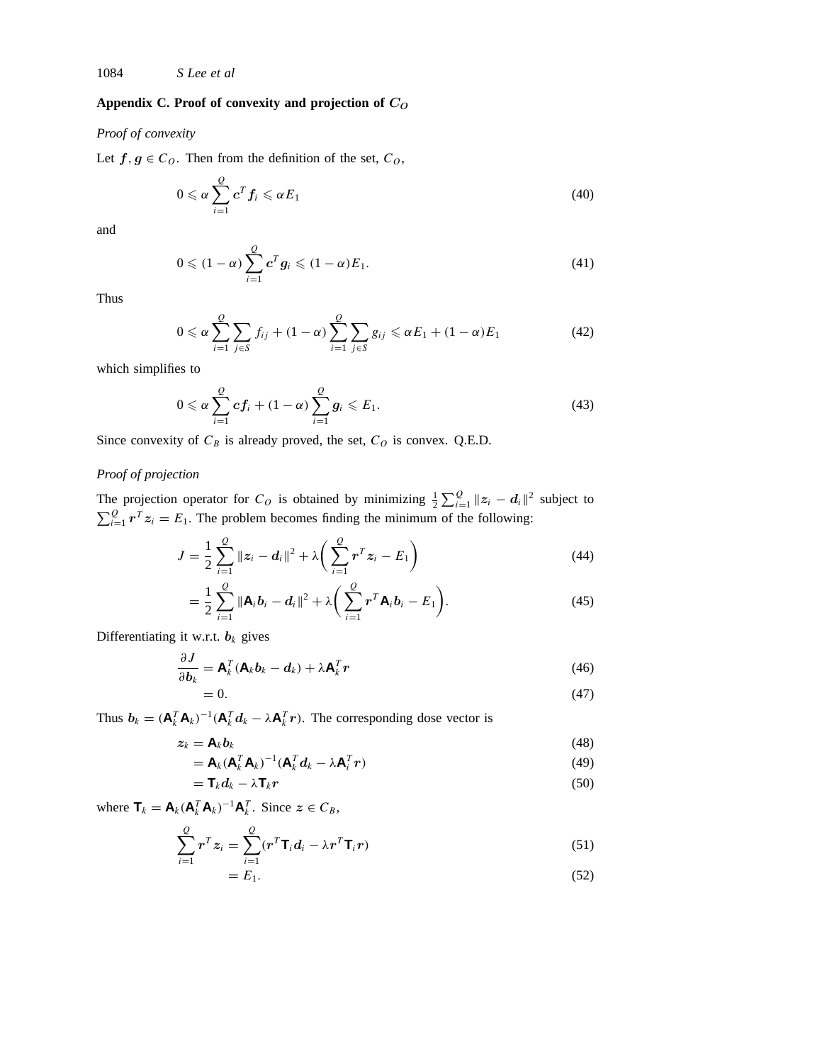1084 *S Lee et al*

# Appendix C. Proof of convexity and projection of  $C_O$

### *Proof of convexity*

Let  $f, g \in C_0$ . Then from the definition of the set,  $C_0$ ,

$$
0 \leqslant \alpha \sum_{i=1}^{Q} \mathbf{c}^T \mathbf{f}_i \leqslant \alpha E_1 \tag{40}
$$

and

$$
0 \le (1 - \alpha) \sum_{i=1}^{Q} c^T g_i \le (1 - \alpha) E_1.
$$
 (41)

Thus

$$
0 \leqslant \alpha \sum_{i=1}^{Q} \sum_{j \in S} f_{ij} + (1 - \alpha) \sum_{i=1}^{Q} \sum_{j \in S} g_{ij} \leqslant \alpha E_1 + (1 - \alpha) E_1 \tag{42}
$$

which simplifies to

$$
0 \leqslant \alpha \sum_{i=1}^{Q} cf_i + (1 - \alpha) \sum_{i=1}^{Q} g_i \leqslant E_1.
$$
\n
$$
(43)
$$

Since convexity of  $C_B$  is already proved, the set,  $C_O$  is convex. Q.E.D.

### *Proof of projection*

The projection operator for  $C_O$  is obtained by minimizing  $\frac{1}{2} \sum_{i=1}^{Q} ||z_i - d_i||^2$  subject to  $\sum_{i=1}^{Q} r^T z_i = E_1$ . The problem becomes finding the minimum of the following:

$$
J = \frac{1}{2} \sum_{i=1}^{Q} ||z_i - d_i||^2 + \lambda \left( \sum_{i=1}^{Q} r^T z_i - E_1 \right)
$$
(44)

$$
= \frac{1}{2} \sum_{i=1}^{Q} \|\mathbf{A}_i \mathbf{b}_i - \mathbf{d}_i\|^2 + \lambda \bigg( \sum_{i=1}^{Q} \mathbf{r}^T \mathbf{A}_i \mathbf{b}_i - E_1 \bigg). \tag{45}
$$

Differentiating it w.r.t.  $\mathbf{b}_k$  gives

$$
\frac{\partial J}{\partial b_k} = \mathbf{A}_k^T (\mathbf{A}_k b_k - d_k) + \lambda \mathbf{A}_k^T r
$$
\n(46)

$$
=0.\t(47)
$$

Thus  $b_k = (A_k^T A_k)^{-1} (A_k^T d_k - \lambda A_k^T r)$ . The corresponding dose vector is

$$
z_k = \mathbf{A}_k b_k \tag{48}
$$

$$
= \mathbf{A}_k (\mathbf{A}_k^T \mathbf{A}_k)^{-1} (\mathbf{A}_k^T d_k - \lambda \mathbf{A}_i^T r)
$$
\n(49)

$$
= \mathbf{T}_k \mathbf{d}_k - \lambda \mathbf{T}_k \mathbf{r} \tag{50}
$$

where  $\mathbf{T}_k = \mathbf{A}_k (\mathbf{A}_k^T \mathbf{A}_k)^{-1} \mathbf{A}_k^T$ . Since  $z \in C_B$ ,

$$
\sum_{i=1}^{Q} r^T z_i = \sum_{i=1}^{Q} (r^T \mathbf{T}_i d_i - \lambda r^T \mathbf{T}_i r)
$$
\n(51)

$$
=E_1.\tag{52}
$$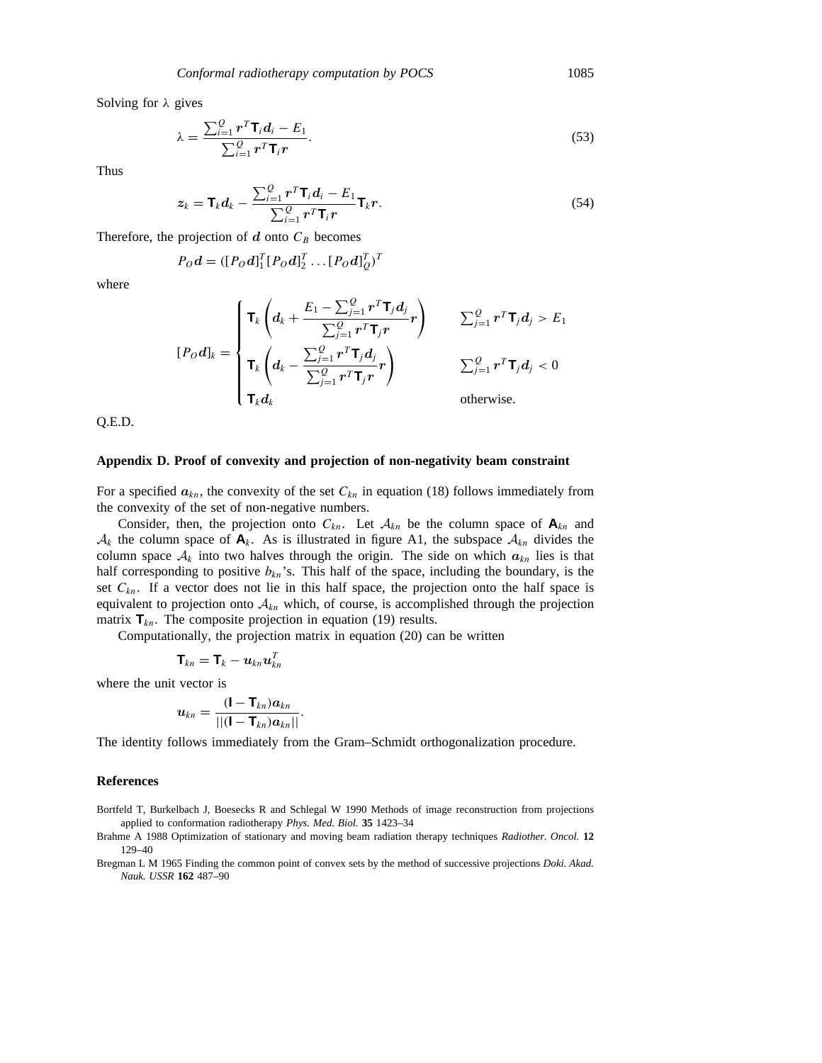Solving for *λ* gives

$$
\lambda = \frac{\sum_{i=1}^{Q} r^T \mathbf{T}_i d_i - E_1}{\sum_{i=1}^{Q} r^T \mathbf{T}_i r}.
$$
\n(53)

Thus

$$
\mathbf{z}_k = \mathbf{T}_k \mathbf{d}_k - \frac{\sum_{i=1}^{Q} \mathbf{r}^T \mathbf{T}_i \mathbf{d}_i - E_1}{\sum_{i=1}^{Q} \mathbf{r}^T \mathbf{T}_i \mathbf{r}} \mathbf{T}_k \mathbf{r}.
$$
\n
$$
\tag{54}
$$

Therefore, the projection of  $d$  onto  $C_B$  becomes

$$
P_O d = ([P_O d]_1^T [P_O d]_2^T ... [P_O d]_Q^T)^T
$$

where

$$
[P_Od]_k = \begin{cases} \mathbf{T}_k \left( d_k + \frac{E_1 - \sum_{j=1}^Q r^T \mathbf{T}_j d_j}{\sum_{j=1}^Q r^T \mathbf{T}_j r} r \right) & \sum_{j=1}^Q r^T \mathbf{T}_j d_j > E_1 \\ \mathbf{T}_k \left( d_k - \frac{\sum_{j=1}^Q r^T \mathbf{T}_j d_j}{\sum_{j=1}^Q r^T \mathbf{T}_j r} r \right) & \sum_{j=1}^Q r^T \mathbf{T}_j d_j < 0 \\ \mathbf{T}_k d_k & \text{otherwise.} \end{cases}
$$

Q.E.D.

#### **Appendix D. Proof of convexity and projection of non-negativity beam constraint**

For a specified  $a_{kn}$ , the convexity of the set  $C_{kn}$  in equation (18) follows immediately from the convexity of the set of non-negative numbers.

Consider, then, the projection onto  $C_{kn}$ . Let  $A_{kn}$  be the column space of  $\mathbf{A}_{kn}$  and  $A_k$  the column space of  $A_k$ . As is illustrated in figure A1, the subspace  $A_{kn}$  divides the column space  $A_k$  into two halves through the origin. The side on which  $a_{kn}$  lies is that half corresponding to positive  $b_{kn}$ 's. This half of the space, including the boundary, is the set  $C_{kn}$ . If a vector does not lie in this half space, the projection onto the half space is equivalent to projection onto  $A_{kn}$  which, of course, is accomplished through the projection matrix  $\mathbf{T}_{kn}$ . The composite projection in equation (19) results.

Computationally, the projection matrix in equation (20) can be written

$$
\mathbf{T}_{kn} = \mathbf{T}_k - \boldsymbol{u}_{kn} \boldsymbol{u}_{kn}^T
$$

where the unit vector is

$$
\boldsymbol{u}_{kn} = \frac{(\boldsymbol{\mathsf{I}} - \boldsymbol{\mathsf{T}}_{kn})\boldsymbol{a}_{kn}}{||(\boldsymbol{\mathsf{I}} - \boldsymbol{\mathsf{T}}_{kn})\boldsymbol{a}_{kn}||}.
$$

The identity follows immediately from the Gram–Schmidt orthogonalization procedure.

#### **References**

- Bortfeld T, Burkelbach J, Boesecks R and Schlegal W 1990 Methods of image reconstruction from projections applied to conformation radiotherapy *Phys. Med. Biol.* **35** 1423–34
- Brahme A 1988 Optimization of stationary and moving beam radiation therapy techniques *Radiother. Oncol.* **12** 129–40
- Bregman L M 1965 Finding the common point of convex sets by the method of successive projections *Doki. Akad. Nauk. USSR* **162** 487–90